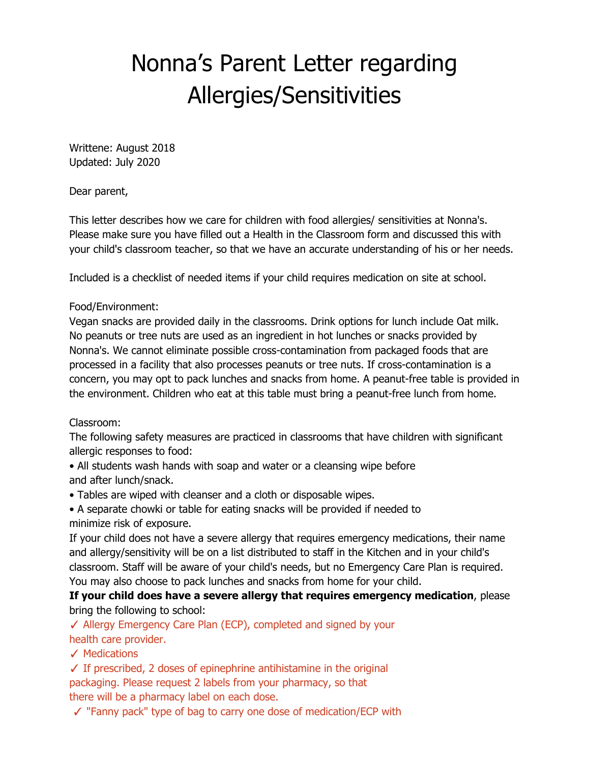# Nonna's Parent Letter regarding Allergies/Sensitivities

Writtene: August 2018 Updated: July 2020

Dear parent,

This letter describes how we care for children with food allergies/ sensitivities at Nonna's. Please make sure you have filled out a Health in the Classroom form and discussed this with your child's classroom teacher, so that we have an accurate understanding of his or her needs.

Included is a checklist of needed items if your child requires medication on site at school.

### Food/Environment:

Vegan snacks are provided daily in the classrooms. Drink options for lunch include Oat milk. No peanuts or tree nuts are used as an ingredient in hot lunches or snacks provided by Nonna's. We cannot eliminate possible cross-contamination from packaged foods that are processed in a facility that also processes peanuts or tree nuts. If cross-contamination is a concern, you may opt to pack lunches and snacks from home. A peanut-free table is provided in the environment. Children who eat at this table must bring a peanut-free lunch from home.

### Classroom:

The following safety measures are practiced in classrooms that have children with significant allergic responses to food:

- All students wash hands with soap and water or a cleansing wipe before and after lunch/snack.
- Tables are wiped with cleanser and a cloth or disposable wipes.
- A separate chowki or table for eating snacks will be provided if needed to minimize risk of exposure.

If your child does not have a severe allergy that requires emergency medications, their name and allergy/sensitivity will be on a list distributed to staff in the Kitchen and in your child's classroom. Staff will be aware of your child's needs, but no Emergency Care Plan is required. You may also choose to pack lunches and snacks from home for your child.

**If your child does have a severe allergy that requires emergency medication**, please bring the following to school:

✓ Allergy Emergency Care Plan (ECP), completed and signed by your health care provider.

✓ Medications

 $\checkmark$  If prescribed, 2 doses of epinephrine antihistamine in the original packaging. Please request 2 labels from your pharmacy, so that there will be a pharmacy label on each dose.

✓ "Fanny pack" type of bag to carry one dose of medication/ECP with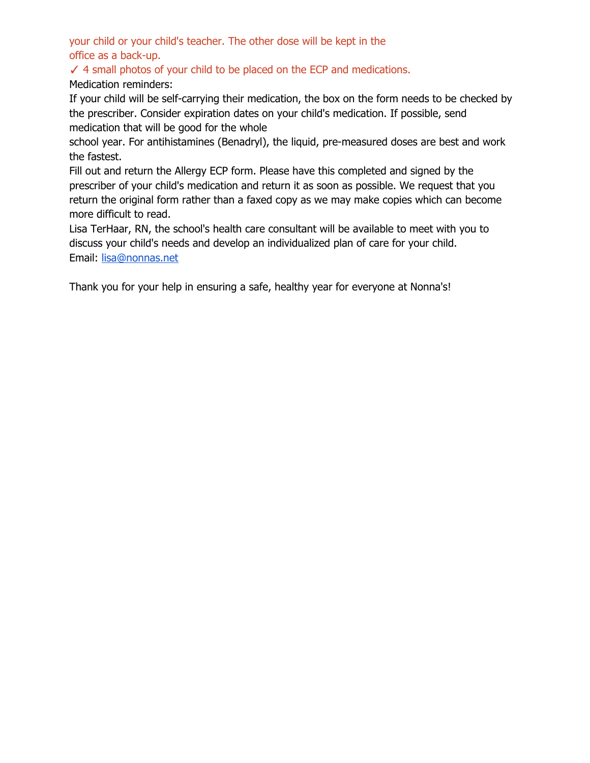your child or your child's teacher. The other dose will be kept in the office as a back-up.

✓ 4 small photos of your child to be placed on the ECP and medications.

Medication reminders:

If your child will be self-carrying their medication, the box on the form needs to be checked by the prescriber. Consider expiration dates on your child's medication. If possible, send medication that will be good for the whole

school year. For antihistamines (Benadryl), the liquid, pre-measured doses are best and work the fastest.

Fill out and return the Allergy ECP form. Please have this completed and signed by the prescriber of your child's medication and return it as soon as possible. We request that you return the original form rather than a faxed copy as we may make copies which can become more difficult to read.

Lisa TerHaar, RN, the school's health care consultant will be available to meet with you to discuss your child's needs and develop an individualized plan of care for your child. Email: [lisa@nonnas.net](mailto:lisa@nonnas.net)

Thank you for your help in ensuring a safe, healthy year for everyone at Nonna's!